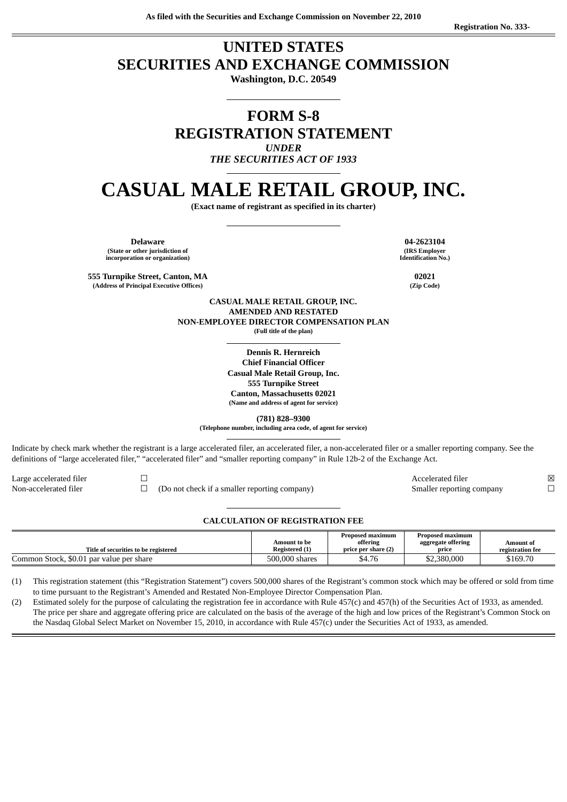# **UNITED STATES SECURITIES AND EXCHANGE COMMISSION**

**Washington, D.C. 20549**

# **FORM S-8 REGISTRATION STATEMENT**

*UNDER*

*THE SECURITIES ACT OF 1933*

# **CASUAL MALE RETAIL GROUP, INC.**

**(Exact name of registrant as specified in its charter)**

**Delaware 04-2623104 (State or other jurisdiction of incorporation or organization)**

**555 Turnpike Street, Canton, MA 02021 (Address of Principal Executive Offices)** 

**(IRS Employer Identification No.)**

**CASUAL MALE RETAIL GROUP, INC. AMENDED AND RESTATED NON-EMPLOYEE DIRECTOR COMPENSATION PLAN (Full title of the plan)**

> **Dennis R. Hernreich Chief Financial Officer Casual Male Retail Group, Inc. 555 Turnpike Street Canton, Massachusetts 02021 (Name and address of agent for service)**

> > **(781) 828–9300**

**(Telephone number, including area code, of agent for service)**

Indicate by check mark whether the registrant is a large accelerated filer, an accelerated filer, a non-accelerated filer or a smaller reporting company. See the definitions of "large accelerated filer," "accelerated filer" and "smaller reporting company" in Rule 12b-2 of the Exchange Act.

Non-accelerated filer □ □ (Do not check if a smaller reporting company) Smaller reporting company

Large accelerated filer ☐ Accelerated filer ☒

#### **CALCULATION OF REGISTRATION FEE**

| Title of securities to be registered     | Amount to be<br>Registered (1) | Proposed maximum<br>offering<br>price per share (2) | <b>Proposed maximum</b><br>aggregate offering<br>price | Amount of<br>registration fee |
|------------------------------------------|--------------------------------|-----------------------------------------------------|--------------------------------------------------------|-------------------------------|
| Common Stock, \$0.01 par value per share | 500,000 shares                 | \$4.76                                              | \$2,380,000                                            | \$169.70                      |

(1) This registration statement (this "Registration Statement") covers 500,000 shares of the Registrant's common stock which may be offered or sold from time to time pursuant to the Registrant's Amended and Restated Non-Employee Director Compensation Plan.

(2) Estimated solely for the purpose of calculating the registration fee in accordance with Rule 457(c) and 457(h) of the Securities Act of 1933, as amended. The price per share and aggregate offering price are calculated on the basis of the average of the high and low prices of the Registrant's Common Stock on the Nasdaq Global Select Market on November 15, 2010, in accordance with Rule 457(c) under the Securities Act of 1933, as amended.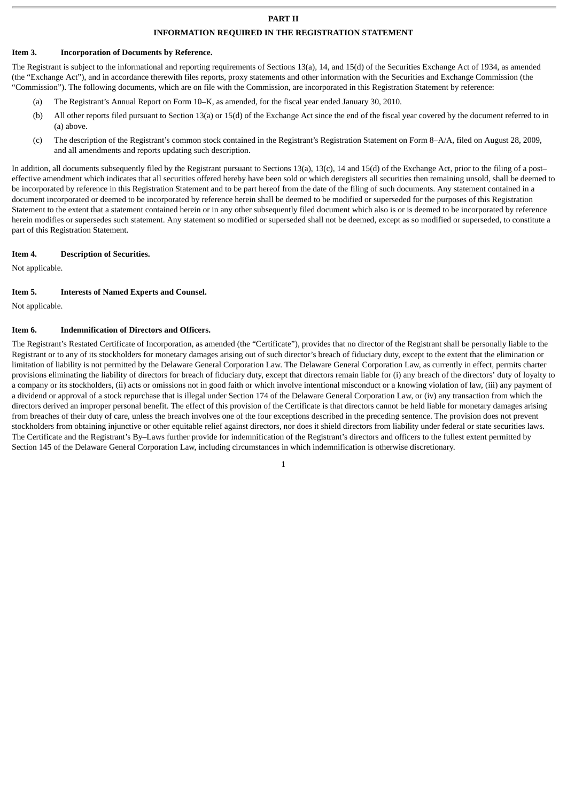# **PART II**

#### **INFORMATION REQUIRED IN THE REGISTRATION STATEMENT**

#### **Item 3. Incorporation of Documents by Reference.**

The Registrant is subject to the informational and reporting requirements of Sections 13(a), 14, and 15(d) of the Securities Exchange Act of 1934, as amended (the "Exchange Act"), and in accordance therewith files reports, proxy statements and other information with the Securities and Exchange Commission (the "Commission"). The following documents, which are on file with the Commission, are incorporated in this Registration Statement by reference:

- (a) The Registrant's Annual Report on Form 10–K, as amended, for the fiscal year ended January 30, 2010.
- (b) All other reports filed pursuant to Section 13(a) or 15(d) of the Exchange Act since the end of the fiscal year covered by the document referred to in (a) above.
- (c) The description of the Registrant's common stock contained in the Registrant's Registration Statement on Form 8–A/A, filed on August 28, 2009, and all amendments and reports updating such description.

In addition, all documents subsequently filed by the Registrant pursuant to Sections 13(a), 13(c), 14 and 15(d) of the Exchange Act, prior to the filing of a post– effective amendment which indicates that all securities offered hereby have been sold or which deregisters all securities then remaining unsold, shall be deemed to be incorporated by reference in this Registration Statement and to be part hereof from the date of the filing of such documents. Any statement contained in a document incorporated or deemed to be incorporated by reference herein shall be deemed to be modified or superseded for the purposes of this Registration Statement to the extent that a statement contained herein or in any other subsequently filed document which also is or is deemed to be incorporated by reference herein modifies or supersedes such statement. Any statement so modified or superseded shall not be deemed, except as so modified or superseded, to constitute a part of this Registration Statement.

#### **Item 4. Description of Securities.**

Not applicable.

#### **Item 5. Interests of Named Experts and Counsel.**

Not applicable.

#### **Item 6. Indemnification of Directors and Officers.**

The Registrant's Restated Certificate of Incorporation, as amended (the "Certificate"), provides that no director of the Registrant shall be personally liable to the Registrant or to any of its stockholders for monetary damages arising out of such director's breach of fiduciary duty, except to the extent that the elimination or limitation of liability is not permitted by the Delaware General Corporation Law. The Delaware General Corporation Law, as currently in effect, permits charter provisions eliminating the liability of directors for breach of fiduciary duty, except that directors remain liable for (i) any breach of the directors' duty of loyalty to a company or its stockholders, (ii) acts or omissions not in good faith or which involve intentional misconduct or a knowing violation of law, (iii) any payment of a dividend or approval of a stock repurchase that is illegal under Section 174 of the Delaware General Corporation Law, or (iv) any transaction from which the directors derived an improper personal benefit. The effect of this provision of the Certificate is that directors cannot be held liable for monetary damages arising from breaches of their duty of care, unless the breach involves one of the four exceptions described in the preceding sentence. The provision does not prevent stockholders from obtaining injunctive or other equitable relief against directors, nor does it shield directors from liability under federal or state securities laws. The Certificate and the Registrant's By–Laws further provide for indemnification of the Registrant's directors and officers to the fullest extent permitted by Section 145 of the Delaware General Corporation Law, including circumstances in which indemnification is otherwise discretionary.

1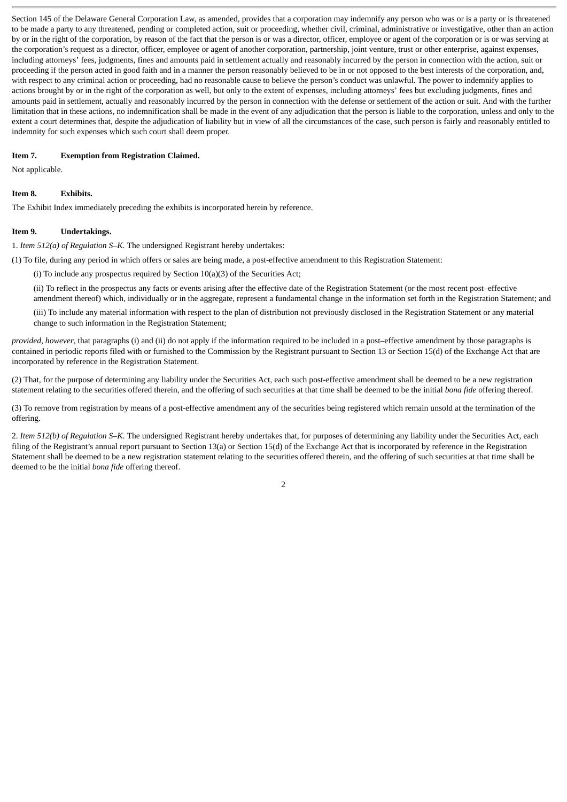Section 145 of the Delaware General Corporation Law, as amended, provides that a corporation may indemnify any person who was or is a party or is threatened to be made a party to any threatened, pending or completed action, suit or proceeding, whether civil, criminal, administrative or investigative, other than an action by or in the right of the corporation, by reason of the fact that the person is or was a director, officer, employee or agent of the corporation or is or was serving at the corporation's request as a director, officer, employee or agent of another corporation, partnership, joint venture, trust or other enterprise, against expenses, including attorneys' fees, judgments, fines and amounts paid in settlement actually and reasonably incurred by the person in connection with the action, suit or proceeding if the person acted in good faith and in a manner the person reasonably believed to be in or not opposed to the best interests of the corporation, and, with respect to any criminal action or proceeding, had no reasonable cause to believe the person's conduct was unlawful. The power to indemnify applies to actions brought by or in the right of the corporation as well, but only to the extent of expenses, including attorneys' fees but excluding judgments, fines and amounts paid in settlement, actually and reasonably incurred by the person in connection with the defense or settlement of the action or suit. And with the further limitation that in these actions, no indemnification shall be made in the event of any adjudication that the person is liable to the corporation, unless and only to the extent a court determines that, despite the adjudication of liability but in view of all the circumstances of the case, such person is fairly and reasonably entitled to indemnity for such expenses which such court shall deem proper.

#### **Item 7. Exemption from Registration Claimed.**

Not applicable.

#### **Item 8. Exhibits.**

The Exhibit Index immediately preceding the exhibits is incorporated herein by reference.

#### **Item 9. Undertakings.**

1. *Item 512(a) of Regulation S–K*. The undersigned Registrant hereby undertakes:

(1) To file, during any period in which offers or sales are being made, a post-effective amendment to this Registration Statement:

(i) To include any prospectus required by Section  $10(a)(3)$  of the Securities Act;

(ii) To reflect in the prospectus any facts or events arising after the effective date of the Registration Statement (or the most recent post–effective amendment thereof) which, individually or in the aggregate, represent a fundamental change in the information set forth in the Registration Statement; and

(iii) To include any material information with respect to the plan of distribution not previously disclosed in the Registration Statement or any material change to such information in the Registration Statement;

*provided, however*, that paragraphs (i) and (ii) do not apply if the information required to be included in a post–effective amendment by those paragraphs is contained in periodic reports filed with or furnished to the Commission by the Registrant pursuant to Section 13 or Section 15(d) of the Exchange Act that are incorporated by reference in the Registration Statement.

(2) That, for the purpose of determining any liability under the Securities Act, each such post-effective amendment shall be deemed to be a new registration statement relating to the securities offered therein, and the offering of such securities at that time shall be deemed to be the initial *bona fide* offering thereof.

(3) To remove from registration by means of a post-effective amendment any of the securities being registered which remain unsold at the termination of the offering.

2. *Item 512(b) of Regulation S–K*. The undersigned Registrant hereby undertakes that, for purposes of determining any liability under the Securities Act, each filing of the Registrant's annual report pursuant to Section 13(a) or Section 15(d) of the Exchange Act that is incorporated by reference in the Registration Statement shall be deemed to be a new registration statement relating to the securities offered therein, and the offering of such securities at that time shall be deemed to be the initial *bona fide* offering thereof.

2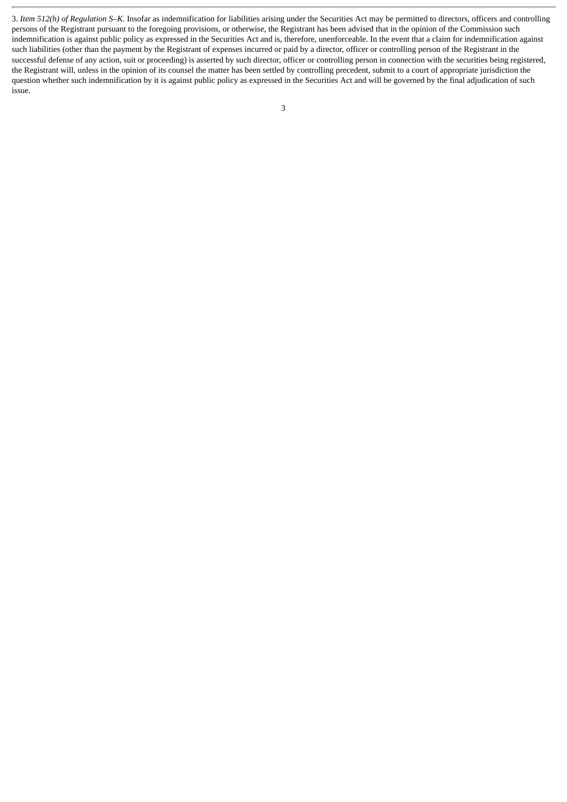3. *Item 512(h) of Regulation S–K*. Insofar as indemnification for liabilities arising under the Securities Act may be permitted to directors, officers and controlling persons of the Registrant pursuant to the foregoing provisions, or otherwise, the Registrant has been advised that in the opinion of the Commission such indemnification is against public policy as expressed in the Securities Act and is, therefore, unenforceable. In the event that a claim for indemnification against such liabilities (other than the payment by the Registrant of expenses incurred or paid by a director, officer or controlling person of the Registrant in the successful defense of any action, suit or proceeding) is asserted by such director, officer or controlling person in connection with the securities being registered, the Registrant will, unless in the opinion of its counsel the matter has been settled by controlling precedent, submit to a court of appropriate jurisdiction the question whether such indemnification by it is against public policy as expressed in the Securities Act and will be governed by the final adjudication of such issue.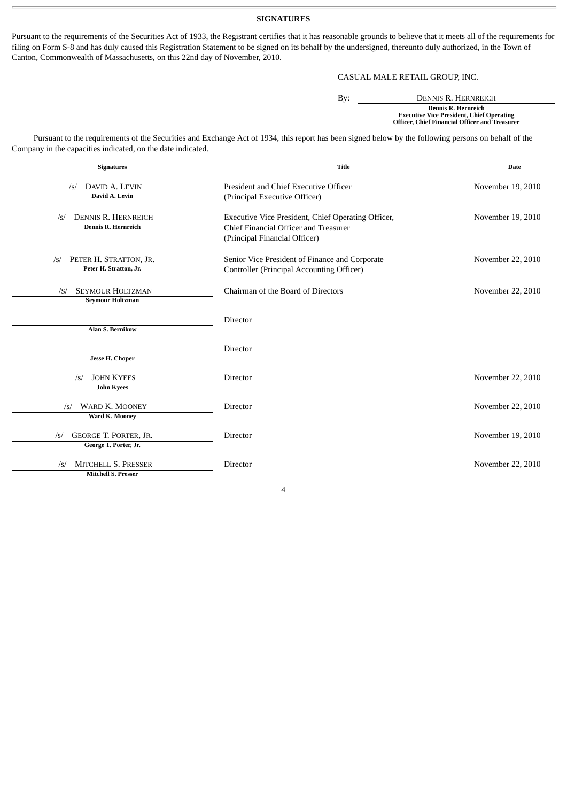# **SIGNATURES**

Pursuant to the requirements of the Securities Act of 1933, the Registrant certifies that it has reasonable grounds to believe that it meets all of the requirements for filing on Form S-8 and has duly caused this Registration Statement to be signed on its behalf by the undersigned, thereunto duly authorized, in the Town of Canton, Commonwealth of Massachusetts, on this 22nd day of November, 2010.

# CASUAL MALE RETAIL GROUP, INC.

| By: | DENNIS R. HERNREICH                                                                                                       |
|-----|---------------------------------------------------------------------------------------------------------------------------|
|     | Dennis R. Hernreich<br><b>Executive Vice President, Chief Operating</b><br>Officer, Chief Financial Officer and Treasurer |

Pursuant to the requirements of the Securities and Exchange Act of 1934, this report has been signed below by the following persons on behalf of the Company in the capacities indicated, on the date indicated.

| <b>Signatures</b>                                               | <b>Title</b>                                                                                                                 | Date              |
|-----------------------------------------------------------------|------------------------------------------------------------------------------------------------------------------------------|-------------------|
| DAVID A. LEVIN<br>/s/<br>David A. Levin                         | President and Chief Executive Officer<br>(Principal Executive Officer)                                                       | November 19, 2010 |
| <b>DENNIS R. HERNREICH</b><br>/s/<br>Dennis R. Hernreich        | Executive Vice President, Chief Operating Officer,<br>Chief Financial Officer and Treasurer<br>(Principal Financial Officer) | November 19, 2010 |
| PETER H. STRATTON, JR.<br>$\sqrt{s}$<br>Peter H. Stratton, Jr.  | Senior Vice President of Finance and Corporate<br>Controller (Principal Accounting Officer)                                  | November 22, 2010 |
| <b>SEYMOUR HOLTZMAN</b><br>/S/<br><b>Seymour Holtzman</b>       | Chairman of the Board of Directors                                                                                           | November 22, 2010 |
| <b>Alan S. Bernikow</b>                                         | Director                                                                                                                     |                   |
| <b>Jesse H. Choper</b>                                          | Director                                                                                                                     |                   |
| <b>JOHN KYEES</b><br>/s/<br><b>John Kyees</b>                   | Director                                                                                                                     | November 22, 2010 |
| <b>WARD K. MOONEY</b><br>$\sqrt{s}$<br>Ward K. Mooney           | <b>Director</b>                                                                                                              | November 22, 2010 |
| GEORGE T. PORTER, JR.<br>$\sqrt{s}$<br>George T. Porter, Jr.    | Director                                                                                                                     | November 19, 2010 |
| <b>MITCHELL S. PRESSER</b><br>/s/<br><b>Mitchell S. Presser</b> | <b>Director</b>                                                                                                              | November 22, 2010 |

4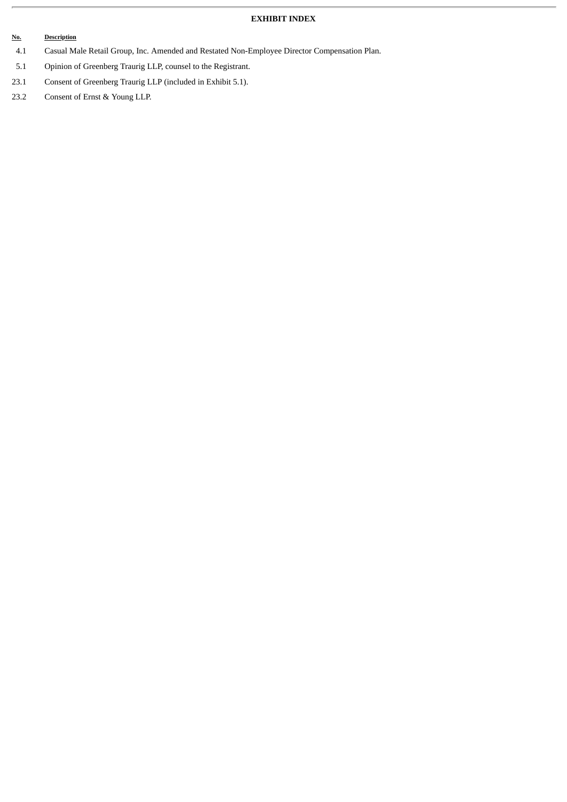# **EXHIBIT INDEX**

# **No. Description**

- 4.1 Casual Male Retail Group, Inc. Amended and Restated Non-Employee Director Compensation Plan.
- 5.1 Opinion of Greenberg Traurig LLP, counsel to the Registrant.
- 23.1 Consent of Greenberg Traurig LLP (included in Exhibit 5.1).
- 23.2 Consent of Ernst & Young LLP.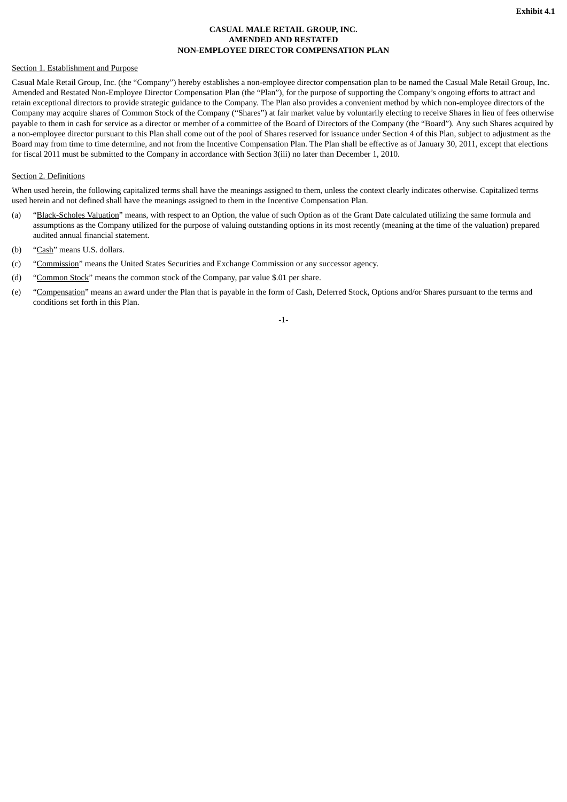# **CASUAL MALE RETAIL GROUP, INC. AMENDED AND RESTATED NON-EMPLOYEE DIRECTOR COMPENSATION PLAN**

# Section 1. Establishment and Purpose

Casual Male Retail Group, Inc. (the "Company") hereby establishes a non-employee director compensation plan to be named the Casual Male Retail Group, Inc. Amended and Restated Non-Employee Director Compensation Plan (the "Plan"), for the purpose of supporting the Company's ongoing efforts to attract and retain exceptional directors to provide strategic guidance to the Company. The Plan also provides a convenient method by which non-employee directors of the Company may acquire shares of Common Stock of the Company ("Shares") at fair market value by voluntarily electing to receive Shares in lieu of fees otherwise payable to them in cash for service as a director or member of a committee of the Board of Directors of the Company (the "Board"). Any such Shares acquired by a non-employee director pursuant to this Plan shall come out of the pool of Shares reserved for issuance under Section 4 of this Plan, subject to adjustment as the Board may from time to time determine, and not from the Incentive Compensation Plan. The Plan shall be effective as of January 30, 2011, except that elections for fiscal 2011 must be submitted to the Company in accordance with Section 3(iii) no later than December 1, 2010.

# Section 2. Definitions

When used herein, the following capitalized terms shall have the meanings assigned to them, unless the context clearly indicates otherwise. Capitalized terms used herein and not defined shall have the meanings assigned to them in the Incentive Compensation Plan.

- (a) "Black-Scholes Valuation" means, with respect to an Option, the value of such Option as of the Grant Date calculated utilizing the same formula and assumptions as the Company utilized for the purpose of valuing outstanding options in its most recently (meaning at the time of the valuation) prepared audited annual financial statement.
- (b) "Cash" means U.S. dollars.
- (c) "Commission" means the United States Securities and Exchange Commission or any successor agency.
- (d) "Common Stock" means the common stock of the Company, par value \$.01 per share.
- (e) "Compensation" means an award under the Plan that is payable in the form of Cash, Deferred Stock, Options and/or Shares pursuant to the terms and conditions set forth in this Plan.

-1-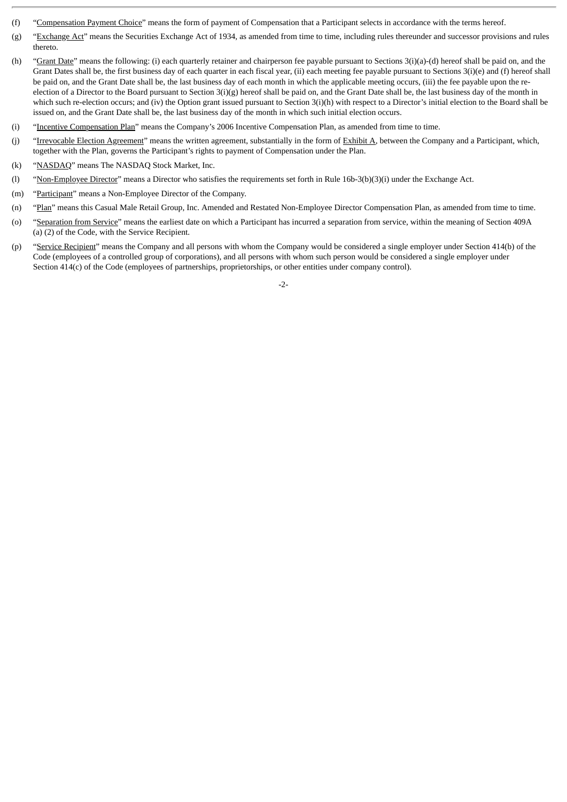- (f) "Compensation Payment Choice" means the form of payment of Compensation that a Participant selects in accordance with the terms hereof.
- (g) "Exchange Act" means the Securities Exchange Act of 1934, as amended from time to time, including rules thereunder and successor provisions and rules thereto.
- (h) "Grant Date" means the following: (i) each quarterly retainer and chairperson fee payable pursuant to Sections 3(i)(a)-(d) hereof shall be paid on, and the Grant Dates shall be, the first business day of each quarter in each fiscal year, (ii) each meeting fee payable pursuant to Sections 3(i)(e) and (f) hereof shall be paid on, and the Grant Date shall be, the last business day of each month in which the applicable meeting occurs, (iii) the fee payable upon the reelection of a Director to the Board pursuant to Section 3(i)(g) hereof shall be paid on, and the Grant Date shall be, the last business day of the month in which such re-election occurs; and (iv) the Option grant issued pursuant to Section 3(i)(h) with respect to a Director's initial election to the Board shall be issued on, and the Grant Date shall be, the last business day of the month in which such initial election occurs.
- (i) "Incentive Compensation Plan" means the Company's 2006 Incentive Compensation Plan, as amended from time to time.
- (j) "Irrevocable Election Agreement" means the written agreement, substantially in the form of Exhibit A, between the Company and a Participant, which, together with the Plan, governs the Participant's rights to payment of Compensation under the Plan.
- (k) "NASDAQ" means The NASDAQ Stock Market, Inc.
- (l) "Non-Employee Director" means a Director who satisfies the requirements set forth in Rule 16b-3(b)(3)(i) under the Exchange Act.
- (m) "Participant" means a Non-Employee Director of the Company.
- (n) "Plan" means this Casual Male Retail Group, Inc. Amended and Restated Non-Employee Director Compensation Plan, as amended from time to time.
- (o) "Separation from Service" means the earliest date on which a Participant has incurred a separation from service, within the meaning of Section 409A (a) (2) of the Code, with the Service Recipient.
- (p) "Service Recipient" means the Company and all persons with whom the Company would be considered a single employer under Section 414(b) of the Code (employees of a controlled group of corporations), and all persons with whom such person would be considered a single employer under Section 414(c) of the Code (employees of partnerships, proprietorships, or other entities under company control).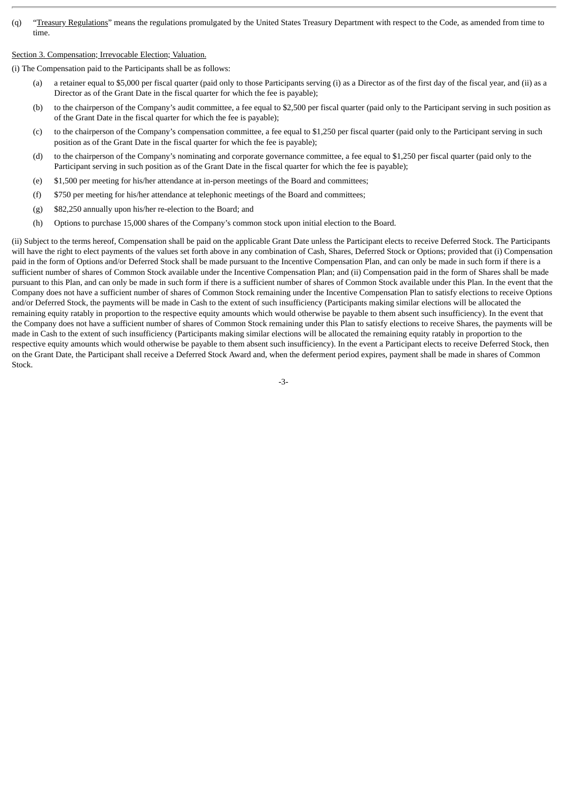(q) "Treasury Regulations" means the regulations promulgated by the United States Treasury Department with respect to the Code, as amended from time to time.

#### Section 3. Compensation; Irrevocable Election; Valuation.

(i) The Compensation paid to the Participants shall be as follows:

- (a) a retainer equal to \$5,000 per fiscal quarter (paid only to those Participants serving (i) as a Director as of the first day of the fiscal year, and (ii) as a Director as of the Grant Date in the fiscal quarter for which the fee is payable);
- (b) to the chairperson of the Company's audit committee, a fee equal to \$2,500 per fiscal quarter (paid only to the Participant serving in such position as of the Grant Date in the fiscal quarter for which the fee is payable);
- (c) to the chairperson of the Company's compensation committee, a fee equal to \$1,250 per fiscal quarter (paid only to the Participant serving in such position as of the Grant Date in the fiscal quarter for which the fee is payable);
- (d) to the chairperson of the Company's nominating and corporate governance committee, a fee equal to \$1,250 per fiscal quarter (paid only to the Participant serving in such position as of the Grant Date in the fiscal quarter for which the fee is payable);
- (e) \$1,500 per meeting for his/her attendance at in-person meetings of the Board and committees;
- (f) \$750 per meeting for his/her attendance at telephonic meetings of the Board and committees;
- (g) \$82,250 annually upon his/her re-election to the Board; and
- (h) Options to purchase 15,000 shares of the Company's common stock upon initial election to the Board.

(ii) Subject to the terms hereof, Compensation shall be paid on the applicable Grant Date unless the Participant elects to receive Deferred Stock. The Participants will have the right to elect payments of the values set forth above in any combination of Cash, Shares, Deferred Stock or Options; provided that (i) Compensation paid in the form of Options and/or Deferred Stock shall be made pursuant to the Incentive Compensation Plan, and can only be made in such form if there is a sufficient number of shares of Common Stock available under the Incentive Compensation Plan; and (ii) Compensation paid in the form of Shares shall be made pursuant to this Plan, and can only be made in such form if there is a sufficient number of shares of Common Stock available under this Plan. In the event that the Company does not have a sufficient number of shares of Common Stock remaining under the Incentive Compensation Plan to satisfy elections to receive Options and/or Deferred Stock, the payments will be made in Cash to the extent of such insufficiency (Participants making similar elections will be allocated the remaining equity ratably in proportion to the respective equity amounts which would otherwise be payable to them absent such insufficiency). In the event that the Company does not have a sufficient number of shares of Common Stock remaining under this Plan to satisfy elections to receive Shares, the payments will be made in Cash to the extent of such insufficiency (Participants making similar elections will be allocated the remaining equity ratably in proportion to the respective equity amounts which would otherwise be payable to them absent such insufficiency). In the event a Participant elects to receive Deferred Stock, then on the Grant Date, the Participant shall receive a Deferred Stock Award and, when the deferment period expires, payment shall be made in shares of Common Stock.

-3-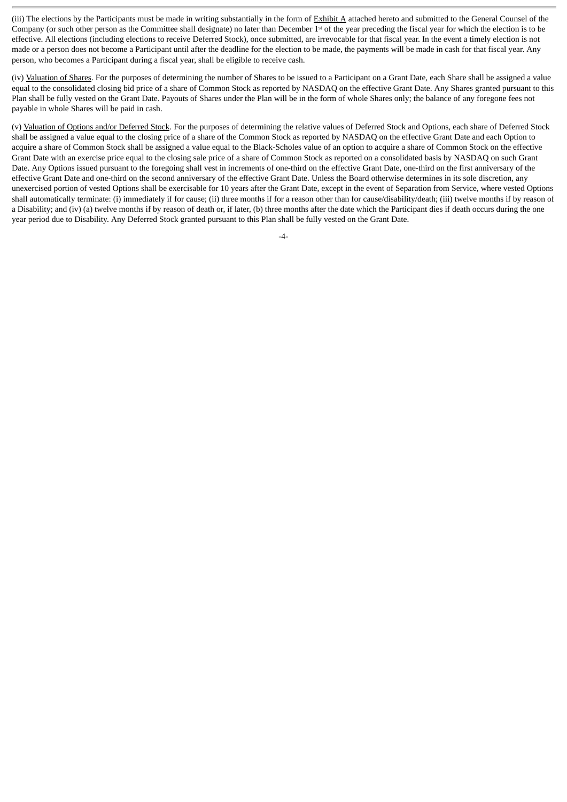(iii) The elections by the Participants must be made in writing substantially in the form of Exhibit A attached hereto and submitted to the General Counsel of the Company (or such other person as the Committee shall designate) no later than December  $1<sup>st</sup>$  of the year preceding the fiscal year for which the election is to be effective. All elections (including elections to receive Deferred Stock), once submitted, are irrevocable for that fiscal year. In the event a timely election is not made or a person does not become a Participant until after the deadline for the election to be made, the payments will be made in cash for that fiscal year. Any person, who becomes a Participant during a fiscal year, shall be eligible to receive cash.

(iv) Valuation of Shares. For the purposes of determining the number of Shares to be issued to a Participant on a Grant Date, each Share shall be assigned a value equal to the consolidated closing bid price of a share of Common Stock as reported by NASDAQ on the effective Grant Date. Any Shares granted pursuant to this Plan shall be fully vested on the Grant Date. Payouts of Shares under the Plan will be in the form of whole Shares only; the balance of any foregone fees not payable in whole Shares will be paid in cash.

(v) Valuation of Options and/or Deferred Stock. For the purposes of determining the relative values of Deferred Stock and Options, each share of Deferred Stock shall be assigned a value equal to the closing price of a share of the Common Stock as reported by NASDAQ on the effective Grant Date and each Option to acquire a share of Common Stock shall be assigned a value equal to the Black-Scholes value of an option to acquire a share of Common Stock on the effective Grant Date with an exercise price equal to the closing sale price of a share of Common Stock as reported on a consolidated basis by NASDAQ on such Grant Date. Any Options issued pursuant to the foregoing shall vest in increments of one-third on the effective Grant Date, one-third on the first anniversary of the effective Grant Date and one-third on the second anniversary of the effective Grant Date. Unless the Board otherwise determines in its sole discretion, any unexercised portion of vested Options shall be exercisable for 10 years after the Grant Date, except in the event of Separation from Service, where vested Options shall automatically terminate: (i) immediately if for cause; (ii) three months if for a reason other than for cause/disability/death; (iii) twelve months if by reason of a Disability; and (iv) (a) twelve months if by reason of death or, if later, (b) three months after the date which the Participant dies if death occurs during the one year period due to Disability. Any Deferred Stock granted pursuant to this Plan shall be fully vested on the Grant Date.

 $-4-$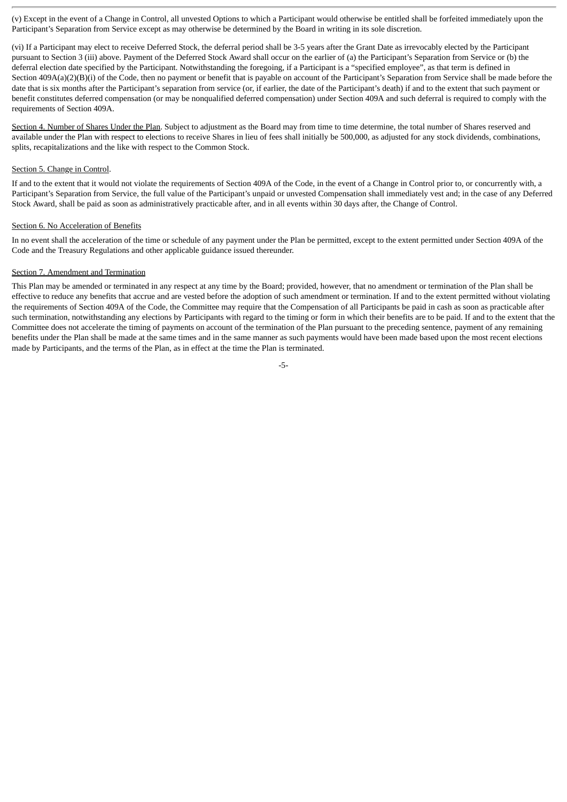(v) Except in the event of a Change in Control, all unvested Options to which a Participant would otherwise be entitled shall be forfeited immediately upon the Participant's Separation from Service except as may otherwise be determined by the Board in writing in its sole discretion.

(vi) If a Participant may elect to receive Deferred Stock, the deferral period shall be 3-5 years after the Grant Date as irrevocably elected by the Participant pursuant to Section 3 (iii) above. Payment of the Deferred Stock Award shall occur on the earlier of (a) the Participant's Separation from Service or (b) the deferral election date specified by the Participant. Notwithstanding the foregoing, if a Participant is a "specified employee", as that term is defined in Section 409A(a)(2)(B)(i) of the Code, then no payment or benefit that is payable on account of the Participant's Separation from Service shall be made before the date that is six months after the Participant's separation from service (or, if earlier, the date of the Participant's death) if and to the extent that such payment or benefit constitutes deferred compensation (or may be nonqualified deferred compensation) under Section 409A and such deferral is required to comply with the requirements of Section 409A.

Section 4. Number of Shares Under the Plan. Subject to adjustment as the Board may from time to time determine, the total number of Shares reserved and available under the Plan with respect to elections to receive Shares in lieu of fees shall initially be 500,000, as adjusted for any stock dividends, combinations, splits, recapitalizations and the like with respect to the Common Stock.

# Section 5. Change in Control.

If and to the extent that it would not violate the requirements of Section 409A of the Code, in the event of a Change in Control prior to, or concurrently with, a Participant's Separation from Service, the full value of the Participant's unpaid or unvested Compensation shall immediately vest and; in the case of any Deferred Stock Award, shall be paid as soon as administratively practicable after, and in all events within 30 days after, the Change of Control.

#### Section 6. No Acceleration of Benefits

In no event shall the acceleration of the time or schedule of any payment under the Plan be permitted, except to the extent permitted under Section 409A of the Code and the Treasury Regulations and other applicable guidance issued thereunder.

#### Section 7. Amendment and Termination

This Plan may be amended or terminated in any respect at any time by the Board; provided, however, that no amendment or termination of the Plan shall be effective to reduce any benefits that accrue and are vested before the adoption of such amendment or termination. If and to the extent permitted without violating the requirements of Section 409A of the Code, the Committee may require that the Compensation of all Participants be paid in cash as soon as practicable after such termination, notwithstanding any elections by Participants with regard to the timing or form in which their benefits are to be paid. If and to the extent that the Committee does not accelerate the timing of payments on account of the termination of the Plan pursuant to the preceding sentence, payment of any remaining benefits under the Plan shall be made at the same times and in the same manner as such payments would have been made based upon the most recent elections made by Participants, and the terms of the Plan, as in effect at the time the Plan is terminated.

-5-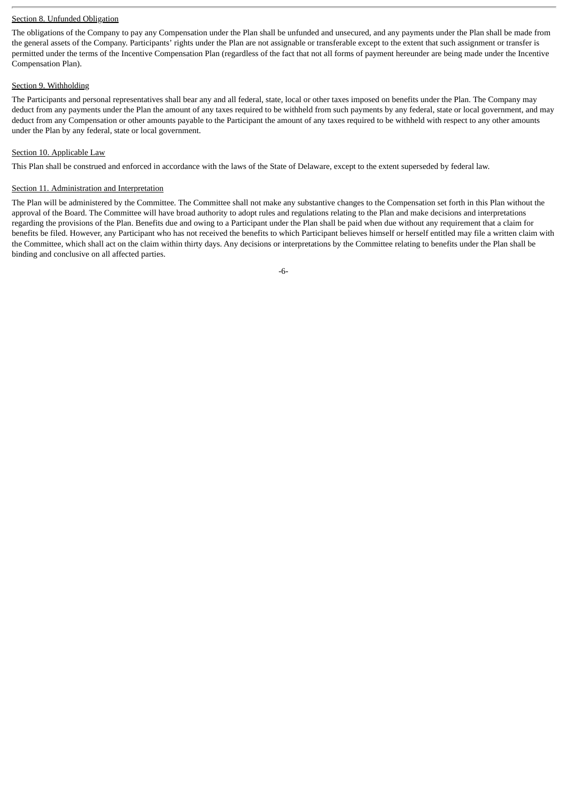# Section 8. Unfunded Obligation

The obligations of the Company to pay any Compensation under the Plan shall be unfunded and unsecured, and any payments under the Plan shall be made from the general assets of the Company. Participants' rights under the Plan are not assignable or transferable except to the extent that such assignment or transfer is permitted under the terms of the Incentive Compensation Plan (regardless of the fact that not all forms of payment hereunder are being made under the Incentive Compensation Plan).

# Section 9. Withholding

The Participants and personal representatives shall bear any and all federal, state, local or other taxes imposed on benefits under the Plan. The Company may deduct from any payments under the Plan the amount of any taxes required to be withheld from such payments by any federal, state or local government, and may deduct from any Compensation or other amounts payable to the Participant the amount of any taxes required to be withheld with respect to any other amounts under the Plan by any federal, state or local government.

# Section 10. Applicable Law

This Plan shall be construed and enforced in accordance with the laws of the State of Delaware, except to the extent superseded by federal law.

#### Section 11. Administration and Interpretation

The Plan will be administered by the Committee. The Committee shall not make any substantive changes to the Compensation set forth in this Plan without the approval of the Board. The Committee will have broad authority to adopt rules and regulations relating to the Plan and make decisions and interpretations regarding the provisions of the Plan. Benefits due and owing to a Participant under the Plan shall be paid when due without any requirement that a claim for benefits be filed. However, any Participant who has not received the benefits to which Participant believes himself or herself entitled may file a written claim with the Committee, which shall act on the claim within thirty days. Any decisions or interpretations by the Committee relating to benefits under the Plan shall be binding and conclusive on all affected parties.

-6-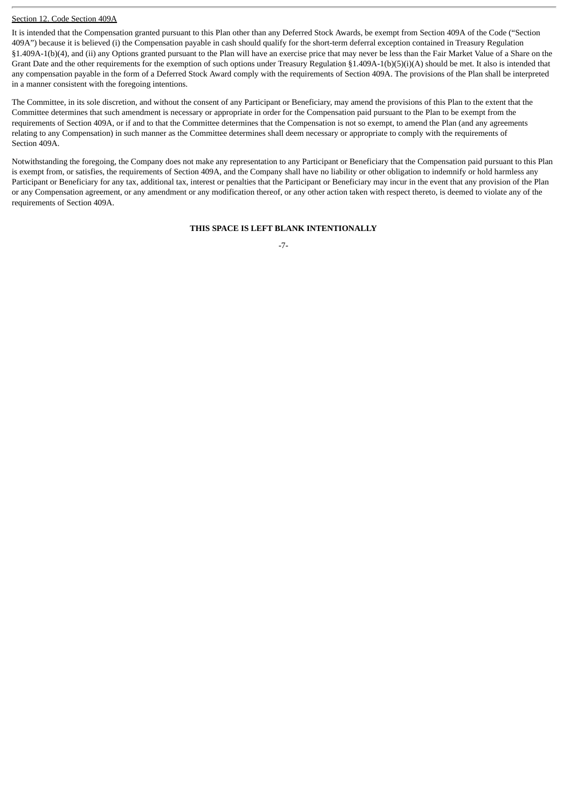# Section 12. Code Section 409A

It is intended that the Compensation granted pursuant to this Plan other than any Deferred Stock Awards, be exempt from Section 409A of the Code ("Section 409A") because it is believed (i) the Compensation payable in cash should qualify for the short-term deferral exception contained in Treasury Regulation §1.409A-1(b)(4), and (ii) any Options granted pursuant to the Plan will have an exercise price that may never be less than the Fair Market Value of a Share on the Grant Date and the other requirements for the exemption of such options under Treasury Regulation §1.409A-1(b)(5)(i)(A) should be met. It also is intended that any compensation payable in the form of a Deferred Stock Award comply with the requirements of Section 409A. The provisions of the Plan shall be interpreted in a manner consistent with the foregoing intentions.

The Committee, in its sole discretion, and without the consent of any Participant or Beneficiary, may amend the provisions of this Plan to the extent that the Committee determines that such amendment is necessary or appropriate in order for the Compensation paid pursuant to the Plan to be exempt from the requirements of Section 409A, or if and to that the Committee determines that the Compensation is not so exempt, to amend the Plan (and any agreements relating to any Compensation) in such manner as the Committee determines shall deem necessary or appropriate to comply with the requirements of Section 409A.

Notwithstanding the foregoing, the Company does not make any representation to any Participant or Beneficiary that the Compensation paid pursuant to this Plan is exempt from, or satisfies, the requirements of Section 409A, and the Company shall have no liability or other obligation to indemnify or hold harmless any Participant or Beneficiary for any tax, additional tax, interest or penalties that the Participant or Beneficiary may incur in the event that any provision of the Plan or any Compensation agreement, or any amendment or any modification thereof, or any other action taken with respect thereto, is deemed to violate any of the requirements of Section 409A.

# **THIS SPACE IS LEFT BLANK INTENTIONALLY**

-7-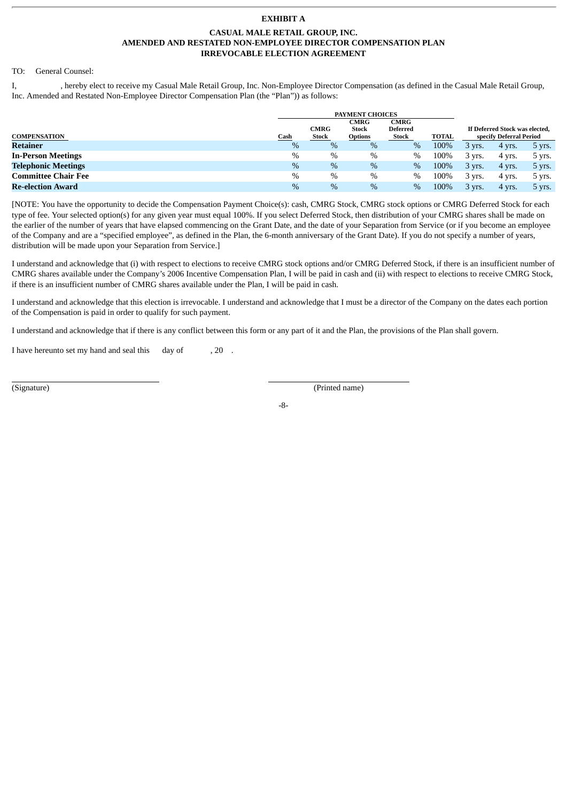# **EXHIBIT A**

#### **CASUAL MALE RETAIL GROUP, INC. AMENDED AND RESTATED NON-EMPLOYEE DIRECTOR COMPENSATION PLAN IRREVOCABLE ELECTION AGREEMENT**

#### TO: General Counsel:

I, hereby elect to receive my Casual Male Retail Group, Inc. Non-Employee Director Compensation (as defined in the Casual Male Retail Group, Inc. Amended and Restated Non-Employee Director Compensation Plan (the "Plan")) as follows:

|                            | <b>PAYMENT CHOICES</b> |                                                                       |                |       |              |                                                           |        |                    |
|----------------------------|------------------------|-----------------------------------------------------------------------|----------------|-------|--------------|-----------------------------------------------------------|--------|--------------------|
|                            |                        | CMRG<br><b>CMRG</b><br><b>Stock</b><br><b>CMRG</b><br><b>Deferred</b> |                |       |              | If Deferred Stock was elected,<br>specify Deferral Period |        |                    |
| <b>COMPENSATION</b>        | Cash<br>$\%$           | <b>Stock</b>                                                          | <b>Options</b> | Stock | <b>TOTAL</b> |                                                           |        |                    |
| Retainer                   |                        | %                                                                     | %              | $\%$  | 100%         | 3 yrs.                                                    | 4 yrs. | $5 \, \text{vrs}.$ |
| <b>In-Person Meetings</b>  | $\%$                   | $\%$                                                                  | $\%$           | $\%$  | 100%         | 3 yrs.                                                    | 4 yrs. | 5 yrs.             |
| <b>Telephonic Meetings</b> | $\%$                   | $\%$                                                                  | %              | $\%$  | 100%         | $3 \text{ vrs}$ .                                         | 4 yrs. | $5 \, \text{yrs}.$ |
| <b>Committee Chair Fee</b> | $\%$                   | $\%$                                                                  | $\%$           | $\%$  | 100%         | 3 yrs.                                                    | 4 yrs. | 5 yrs.             |
| Re-election Award          | $\%$                   | $\%$                                                                  | %              | $\%$  | 100%         | $3 \, \text{vrs}.$                                        | 4 yrs. | $5 \text{ vrs}.$   |

[NOTE: You have the opportunity to decide the Compensation Payment Choice(s): cash, CMRG Stock, CMRG stock options or CMRG Deferred Stock for each type of fee. Your selected option(s) for any given year must equal 100%. If you select Deferred Stock, then distribution of your CMRG shares shall be made on the earlier of the number of years that have elapsed commencing on the Grant Date, and the date of your Separation from Service (or if you become an employee of the Company and are a "specified employee", as defined in the Plan, the 6-month anniversary of the Grant Date). If you do not specify a number of years, distribution will be made upon your Separation from Service.]

I understand and acknowledge that (i) with respect to elections to receive CMRG stock options and/or CMRG Deferred Stock, if there is an insufficient number of CMRG shares available under the Company's 2006 Incentive Compensation Plan, I will be paid in cash and (ii) with respect to elections to receive CMRG Stock, if there is an insufficient number of CMRG shares available under the Plan, I will be paid in cash.

I understand and acknowledge that this election is irrevocable. I understand and acknowledge that I must be a director of the Company on the dates each portion of the Compensation is paid in order to qualify for such payment.

I understand and acknowledge that if there is any conflict between this form or any part of it and the Plan, the provisions of the Plan shall govern.

I have hereunto set my hand and seal this day of , 20.

(Signature) (Printed name)

-8-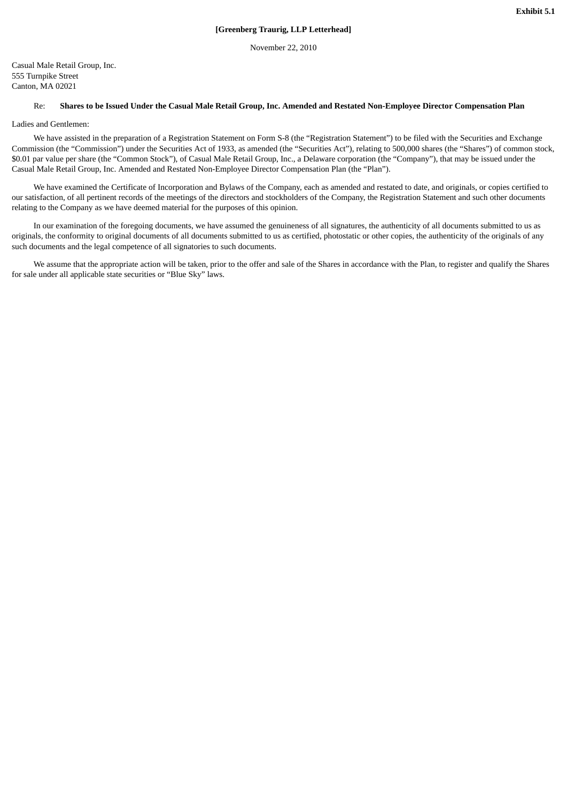November 22, 2010

Casual Male Retail Group, Inc. 555 Turnpike Street Canton, MA 02021

#### Re: **Shares to be Issued Under the Casual Male Retail Group, Inc. Amended and Restated Non-Employee Director Compensation Plan**

Ladies and Gentlemen:

We have assisted in the preparation of a Registration Statement on Form S-8 (the "Registration Statement") to be filed with the Securities and Exchange Commission (the "Commission") under the Securities Act of 1933, as amended (the "Securities Act"), relating to 500,000 shares (the "Shares") of common stock, \$0.01 par value per share (the "Common Stock"), of Casual Male Retail Group, Inc., a Delaware corporation (the "Company"), that may be issued under the Casual Male Retail Group, Inc. Amended and Restated Non-Employee Director Compensation Plan (the "Plan").

We have examined the Certificate of Incorporation and Bylaws of the Company, each as amended and restated to date, and originals, or copies certified to our satisfaction, of all pertinent records of the meetings of the directors and stockholders of the Company, the Registration Statement and such other documents relating to the Company as we have deemed material for the purposes of this opinion.

In our examination of the foregoing documents, we have assumed the genuineness of all signatures, the authenticity of all documents submitted to us as originals, the conformity to original documents of all documents submitted to us as certified, photostatic or other copies, the authenticity of the originals of any such documents and the legal competence of all signatories to such documents.

We assume that the appropriate action will be taken, prior to the offer and sale of the Shares in accordance with the Plan, to register and qualify the Shares for sale under all applicable state securities or "Blue Sky" laws.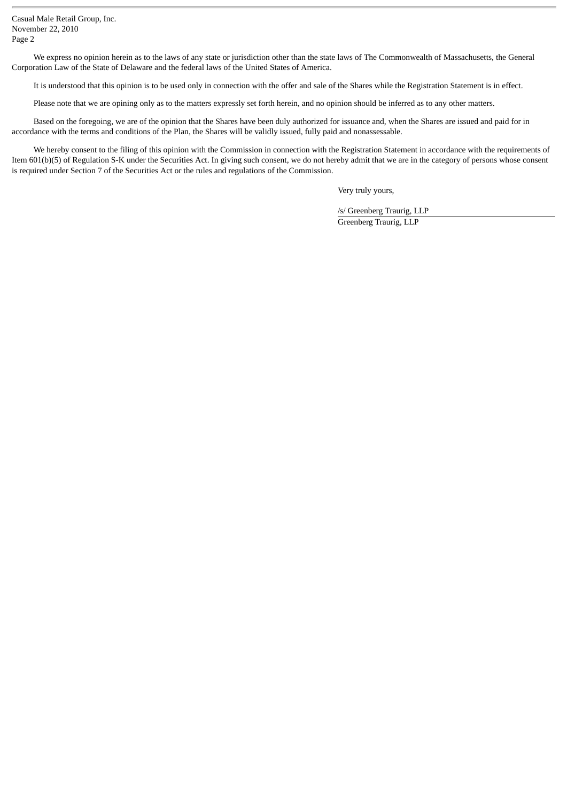Casual Male Retail Group, Inc. November 22, 2010 Page 2

We express no opinion herein as to the laws of any state or jurisdiction other than the state laws of The Commonwealth of Massachusetts, the General Corporation Law of the State of Delaware and the federal laws of the United States of America.

It is understood that this opinion is to be used only in connection with the offer and sale of the Shares while the Registration Statement is in effect.

Please note that we are opining only as to the matters expressly set forth herein, and no opinion should be inferred as to any other matters.

Based on the foregoing, we are of the opinion that the Shares have been duly authorized for issuance and, when the Shares are issued and paid for in accordance with the terms and conditions of the Plan, the Shares will be validly issued, fully paid and nonassessable.

We hereby consent to the filing of this opinion with the Commission in connection with the Registration Statement in accordance with the requirements of Item 601(b)(5) of Regulation S-K under the Securities Act. In giving such consent, we do not hereby admit that we are in the category of persons whose consent is required under Section 7 of the Securities Act or the rules and regulations of the Commission.

Very truly yours,

/s/ Greenberg Traurig, LLP Greenberg Traurig, LLP